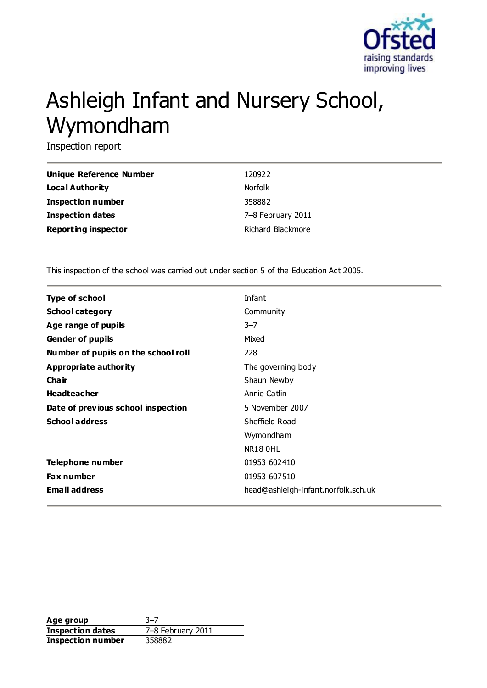

# Ashleigh Infant and Nursery School, Wymondham

Inspection report

| Unique Reference Number    | 120922            |
|----------------------------|-------------------|
| Local Authority            | <b>Norfolk</b>    |
| <b>Inspection number</b>   | 358882            |
| <b>Inspection dates</b>    | 7-8 February 2011 |
| <b>Reporting inspector</b> | Richard Blackmore |

This inspection of the school was carried out under section 5 of the Education Act 2005.

| <b>Type of school</b>               | Infant                              |
|-------------------------------------|-------------------------------------|
| <b>School category</b>              | Community                           |
| Age range of pupils                 | $3 - 7$                             |
| <b>Gender of pupils</b>             | Mixed                               |
| Number of pupils on the school roll | 228                                 |
| <b>Appropriate authority</b>        | The governing body                  |
| Cha ir                              | Shaun Newby                         |
| <b>Headteacher</b>                  | Annie Catlin                        |
| Date of previous school inspection  | 5 November 2007                     |
| <b>School address</b>               | Sheffield Road                      |
|                                     | Wymondham                           |
|                                     | <b>NR18 OHL</b>                     |
| Telephone number                    | 01953 602410                        |
| <b>Fax number</b>                   | 01953 607510                        |
| <b>Email address</b>                | head@ashleigh-infant.norfolk.sch.uk |

**Age group** 3–7 **Inspection dates** 7–8 February 2011 **Inspection number** 358882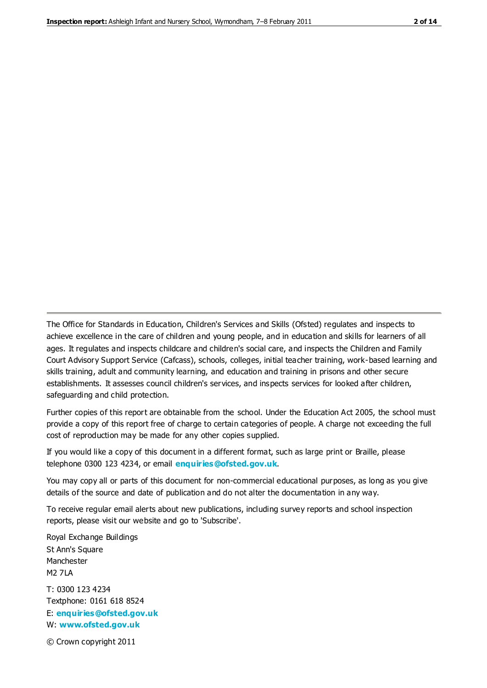The Office for Standards in Education, Children's Services and Skills (Ofsted) regulates and inspects to achieve excellence in the care of children and young people, and in education and skills for learners of all ages. It regulates and inspects childcare and children's social care, and inspects the Children and Family Court Advisory Support Service (Cafcass), schools, colleges, initial teacher training, work-based learning and skills training, adult and community learning, and education and training in prisons and other secure establishments. It assesses council children's services, and inspects services for looked after children, safeguarding and child protection.

Further copies of this report are obtainable from the school. Under the Education Act 2005, the school must provide a copy of this report free of charge to certain categories of people. A charge not exceeding the full cost of reproduction may be made for any other copies supplied.

If you would like a copy of this document in a different format, such as large print or Braille, please telephone 0300 123 4234, or email **[enquiries@ofsted.gov.uk](mailto:enquiries@ofsted.gov.uk)**.

You may copy all or parts of this document for non-commercial educational purposes, as long as you give details of the source and date of publication and do not alter the documentation in any way.

To receive regular email alerts about new publications, including survey reports and school inspection reports, please visit our website and go to 'Subscribe'.

Royal Exchange Buildings St Ann's Square Manchester M2 7LA T: 0300 123 4234 Textphone: 0161 618 8524 E: **[enquiries@ofsted.gov.uk](mailto:enquiries@ofsted.gov.uk)**

W: **[www.ofsted.gov.uk](http://www.ofsted.gov.uk/)**

© Crown copyright 2011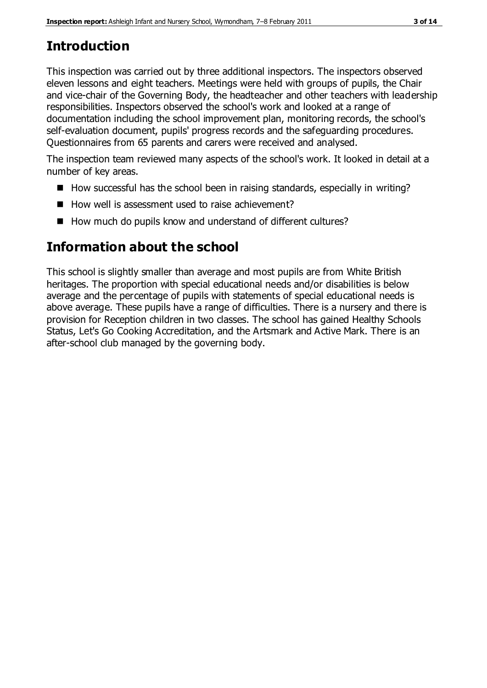# **Introduction**

This inspection was carried out by three additional inspectors. The inspectors observed eleven lessons and eight teachers. Meetings were held with groups of pupils, the Chair and vice-chair of the Governing Body, the headteacher and other teachers with leadership responsibilities. Inspectors observed the school's work and looked at a range of documentation including the school improvement plan, monitoring records, the school's self-evaluation document, pupils' progress records and the safeguarding procedures. Questionnaires from 65 parents and carers were received and analysed.

The inspection team reviewed many aspects of the school's work. It looked in detail at a number of key areas.

- $\blacksquare$  How successful has the school been in raising standards, especially in writing?
- $\blacksquare$  How well is assessment used to raise achievement?
- How much do pupils know and understand of different cultures?

# **Information about the school**

This school is slightly smaller than average and most pupils are from White British heritages. The proportion with special educational needs and/or disabilities is below average and the percentage of pupils with statements of special educational needs is above average. These pupils have a range of difficulties. There is a nursery and there is provision for Reception children in two classes. The school has gained Healthy Schools Status, Let's Go Cooking Accreditation, and the Artsmark and Active Mark. There is an after-school club managed by the governing body.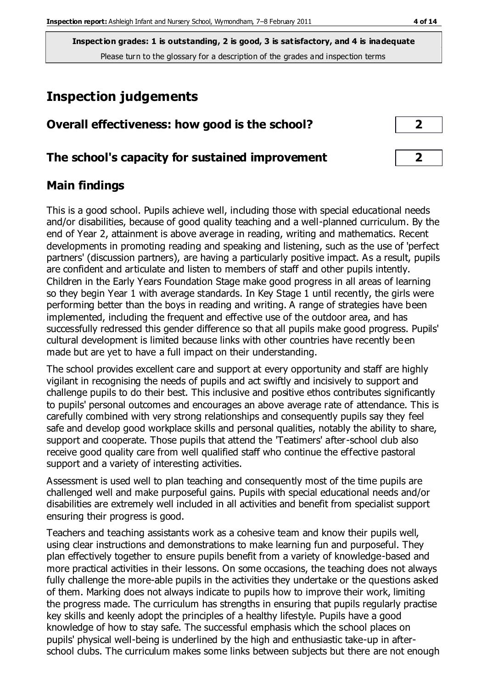**Inspection grades: 1 is outstanding, 2 is good, 3 is satisfactory, and 4 is inadequate** Please turn to the glossary for a description of the grades and inspection terms

## **Inspection judgements**

| Overall effectiveness: how good is the school?  |  |
|-------------------------------------------------|--|
| The school's capacity for sustained improvement |  |

### **Main findings**

This is a good school. Pupils achieve well, including those with special educational needs and/or disabilities, because of good quality teaching and a well-planned curriculum. By the end of Year 2, attainment is above average in reading, writing and mathematics. Recent developments in promoting reading and speaking and listening, such as the use of 'perfect partners' (discussion partners), are having a particularly positive impact. As a result, pupils are confident and articulate and listen to members of staff and other pupils intently. Children in the Early Years Foundation Stage make good progress in all areas of learning so they begin Year 1 with average standards. In Key Stage 1 until recently, the girls were performing better than the boys in reading and writing. A range of strategies have been implemented, including the frequent and effective use of the outdoor area, and has successfully redressed this gender difference so that all pupils make good progress. Pupils' cultural development is limited because links with other countries have recently been made but are yet to have a full impact on their understanding.

The school provides excellent care and support at every opportunity and staff are highly vigilant in recognising the needs of pupils and act swiftly and incisively to support and challenge pupils to do their best. This inclusive and positive ethos contributes significantly to pupils' personal outcomes and encourages an above average rate of attendance. This is carefully combined with very strong relationships and consequently pupils say they feel safe and develop good workplace skills and personal qualities, notably the ability to share, support and cooperate. Those pupils that attend the 'Teatimers' after-school club also receive good quality care from well qualified staff who continue the effective pastoral support and a variety of interesting activities.

Assessment is used well to plan teaching and consequently most of the time pupils are challenged well and make purposeful gains. Pupils with special educational needs and/or disabilities are extremely well included in all activities and benefit from specialist support ensuring their progress is good.

Teachers and teaching assistants work as a cohesive team and know their pupils well, using clear instructions and demonstrations to make learning fun and purposeful. They plan effectively together to ensure pupils benefit from a variety of knowledge-based and more practical activities in their lessons. On some occasions, the teaching does not always fully challenge the more-able pupils in the activities they undertake or the questions asked of them. Marking does not always indicate to pupils how to improve their work, limiting the progress made. The curriculum has strengths in ensuring that pupils regularly practise key skills and keenly adopt the principles of a healthy lifestyle. Pupils have a good knowledge of how to stay safe. The successful emphasis which the school places on pupils' physical well-being is underlined by the high and enthusiastic take-up in afterschool clubs. The curriculum makes some links between subjects but there are not enough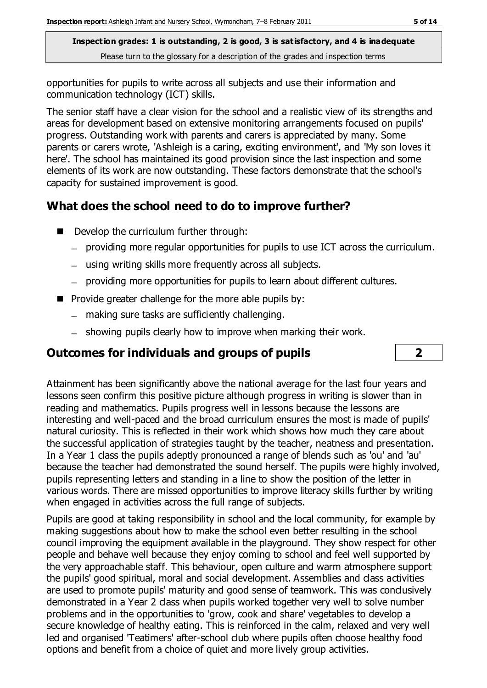**Inspection grades: 1 is outstanding, 2 is good, 3 is satisfactory, and 4 is inadequate** Please turn to the glossary for a description of the grades and inspection terms

opportunities for pupils to write across all subjects and use their information and communication technology (ICT) skills.

The senior staff have a clear vision for the school and a realistic view of its strengths and areas for development based on extensive monitoring arrangements focused on pupils' progress. Outstanding work with parents and carers is appreciated by many. Some parents or carers wrote, 'Ashleigh is a caring, exciting environment', and 'My son loves it here'. The school has maintained its good provision since the last inspection and some elements of its work are now outstanding. These factors demonstrate that the school's capacity for sustained improvement is good.

## **What does the school need to do to improve further?**

- Develop the curriculum further through:
	- providing more regular opportunities for pupils to use ICT across the curriculum.
	- using writing skills more frequently across all subjects.
	- providing more opportunities for pupils to learn about different cultures.
- $\blacksquare$  Provide greater challenge for the more able pupils by:
	- making sure tasks are sufficiently challenging.
	- showing pupils clearly how to improve when marking their work.

## **Outcomes for individuals and groups of pupils 2**



Attainment has been significantly above the national average for the last four years and lessons seen confirm this positive picture although progress in writing is slower than in reading and mathematics. Pupils progress well in lessons because the lessons are interesting and well-paced and the broad curriculum ensures the most is made of pupils' natural curiosity. This is reflected in their work which shows how much they care about the successful application of strategies taught by the teacher, neatness and presentation. In a Year 1 class the pupils adeptly pronounced a range of blends such as 'ou' and 'au' because the teacher had demonstrated the sound herself. The pupils were highly involved, pupils representing letters and standing in a line to show the position of the letter in various words. There are missed opportunities to improve literacy skills further by writing when engaged in activities across the full range of subjects.

Pupils are good at taking responsibility in school and the local community, for example by making suggestions about how to make the school even better resulting in the school council improving the equipment available in the playground. They show respect for other people and behave well because they enjoy coming to school and feel well supported by the very approachable staff. This behaviour, open culture and warm atmosphere support the pupils' good spiritual, moral and social development. Assemblies and class activities are used to promote pupils' maturity and good sense of teamwork. This was conclusively demonstrated in a Year 2 class when pupils worked together very well to solve number problems and in the opportunities to 'grow, cook and share' vegetables to develop a secure knowledge of healthy eating. This is reinforced in the calm, relaxed and very well led and organised 'Teatimers' after-school club where pupils often choose healthy food options and benefit from a choice of quiet and more lively group activities.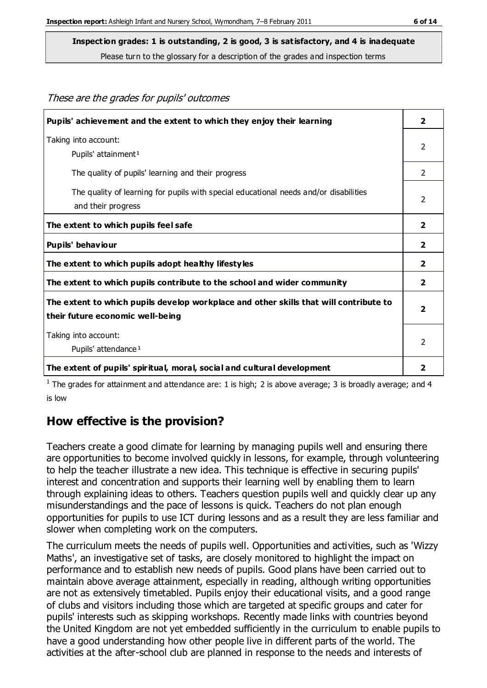These are the grades for pupils' outcomes

**Inspection grades: 1 is outstanding, 2 is good, 3 is satisfactory, and 4 is inadequate**

Please turn to the glossary for a description of the grades and inspection terms

| Pupils' achievement and the extent to which they enjoy their learning                                                     | $\overline{2}$          |
|---------------------------------------------------------------------------------------------------------------------------|-------------------------|
| Taking into account:<br>Pupils' attainment <sup>1</sup>                                                                   | $\mathcal{P}$           |
| The quality of pupils' learning and their progress                                                                        | $\mathcal{P}$           |
| The quality of learning for pupils with special educational needs and/or disabilities<br>and their progress               | 2                       |
| The extent to which pupils feel safe                                                                                      | $\overline{2}$          |
| Pupils' behaviour                                                                                                         | $\overline{\mathbf{2}}$ |
| The extent to which pupils adopt healthy lifestyles                                                                       | $\overline{\mathbf{2}}$ |
| The extent to which pupils contribute to the school and wider community                                                   | $\overline{2}$          |
| The extent to which pupils develop workplace and other skills that will contribute to<br>their future economic well-being | $\overline{\mathbf{2}}$ |
| Taking into account:<br>Pupils' attendance <sup>1</sup>                                                                   | 2                       |
| The extent of pupils' spiritual, moral, social and cultural development                                                   | 2                       |

<sup>1</sup> The grades for attainment and attendance are: 1 is high; 2 is above average; 3 is broadly average; and 4 is low

#### **How effective is the provision?**

Teachers create a good climate for learning by managing pupils well and ensuring there are opportunities to become involved quickly in lessons, for example, through volunteering to help the teacher illustrate a new idea. This technique is effective in securing pupils' interest and concentration and supports their learning well by enabling them to learn through explaining ideas to others. Teachers question pupils well and quickly clear up any misunderstandings and the pace of lessons is quick. Teachers do not plan enough opportunities for pupils to use ICT during lessons and as a result they are less familiar and slower when completing work on the computers.

The curriculum meets the needs of pupils well. Opportunities and activities, such as 'Wizzy Maths', an investigative set of tasks, are closely monitored to highlight the impact on performance and to establish new needs of pupils. Good plans have been carried out to maintain above average attainment, especially in reading, although writing opportunities are not as extensively timetabled. Pupils enjoy their educational visits, and a good range of clubs and visitors including those which are targeted at specific groups and cater for pupils' interests such as skipping workshops. Recently made links with countries beyond the United Kingdom are not yet embedded sufficiently in the curriculum to enable pupils to have a good understanding how other people live in different parts of the world. The activities at the after-school club are planned in response to the needs and interests of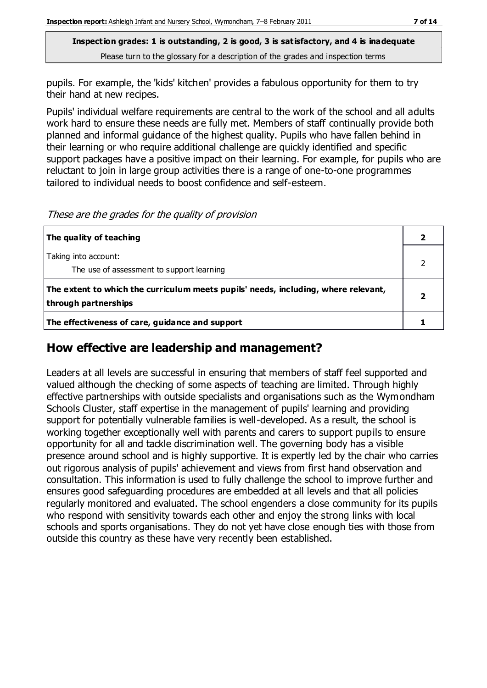**Inspection grades: 1 is outstanding, 2 is good, 3 is satisfactory, and 4 is inadequate** Please turn to the glossary for a description of the grades and inspection terms

pupils. For example, the 'kids' kitchen' provides a fabulous opportunity for them to try their hand at new recipes.

Pupils' individual welfare requirements are central to the work of the school and all adults work hard to ensure these needs are fully met. Members of staff continually provide both planned and informal guidance of the highest quality. Pupils who have fallen behind in their learning or who require additional challenge are quickly identified and specific support packages have a positive impact on their learning. For example, for pupils who are reluctant to join in large group activities there is a range of one-to-one programmes tailored to individual needs to boost confidence and self-esteem.

These are the grades for the quality of provision

| The quality of teaching                                                                                    |  |
|------------------------------------------------------------------------------------------------------------|--|
| Taking into account:<br>The use of assessment to support learning                                          |  |
| The extent to which the curriculum meets pupils' needs, including, where relevant,<br>through partnerships |  |
| The effectiveness of care, guidance and support                                                            |  |

#### **How effective are leadership and management?**

Leaders at all levels are successful in ensuring that members of staff feel supported and valued although the checking of some aspects of teaching are limited. Through highly effective partnerships with outside specialists and organisations such as the Wymondham Schools Cluster, staff expertise in the management of pupils' learning and providing support for potentially vulnerable families is well-developed. As a result, the school is working together exceptionally well with parents and carers to support pupils to ensure opportunity for all and tackle discrimination well. The governing body has a visible presence around school and is highly supportive. It is expertly led by the chair who carries out rigorous analysis of pupils' achievement and views from first hand observation and consultation. This information is used to fully challenge the school to improve further and ensures good safeguarding procedures are embedded at all levels and that all policies regularly monitored and evaluated. The school engenders a close community for its pupils who respond with sensitivity towards each other and enjoy the strong links with local schools and sports organisations. They do not yet have close enough ties with those from outside this country as these have very recently been established.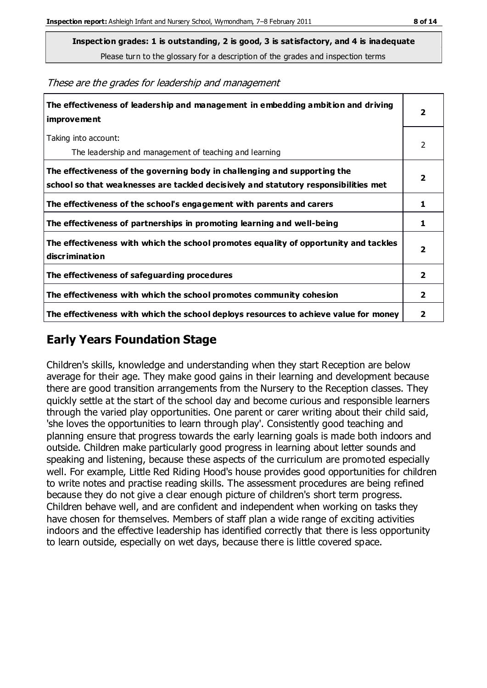Please turn to the glossary for a description of the grades and inspection terms

These are the grades for leadership and management

| The effectiveness of leadership and management in embedding ambition and driving<br>improvement                                                                  |                         |
|------------------------------------------------------------------------------------------------------------------------------------------------------------------|-------------------------|
| Taking into account:<br>The leadership and management of teaching and learning                                                                                   | 2                       |
| The effectiveness of the governing body in challenging and supporting the<br>school so that weaknesses are tackled decisively and statutory responsibilities met | $\overline{\mathbf{2}}$ |
| The effectiveness of the school's engagement with parents and carers                                                                                             | 1                       |
| The effectiveness of partnerships in promoting learning and well-being                                                                                           | 1                       |
| The effectiveness with which the school promotes equality of opportunity and tackles<br>discrimination                                                           | $\overline{\mathbf{2}}$ |
| The effectiveness of safeguarding procedures                                                                                                                     | $\overline{2}$          |
| The effectiveness with which the school promotes community cohesion                                                                                              | $\mathbf{2}$            |
| The effectiveness with which the school deploys resources to achieve value for money                                                                             | 2                       |

#### **Early Years Foundation Stage**

Children's skills, knowledge and understanding when they start Reception are below average for their age. They make good gains in their learning and development because there are good transition arrangements from the Nursery to the Reception classes. They quickly settle at the start of the school day and become curious and responsible learners through the varied play opportunities. One parent or carer writing about their child said, 'she loves the opportunities to learn through play'. Consistently good teaching and planning ensure that progress towards the early learning goals is made both indoors and outside. Children make particularly good progress in learning about letter sounds and speaking and listening, because these aspects of the curriculum are promoted especially well. For example, Little Red Riding Hood's house provides good opportunities for children to write notes and practise reading skills. The assessment procedures are being refined because they do not give a clear enough picture of children's short term progress. Children behave well, and are confident and independent when working on tasks they have chosen for themselves. Members of staff plan a wide range of exciting activities indoors and the effective leadership has identified correctly that there is less opportunity to learn outside, especially on wet days, because there is little covered space.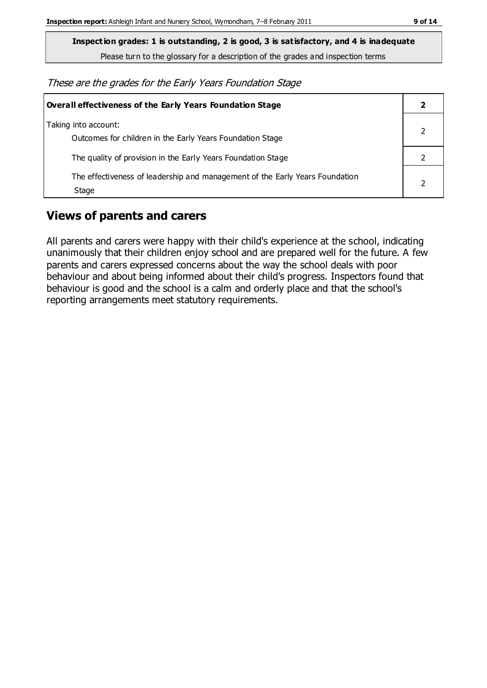**Inspection grades: 1 is outstanding, 2 is good, 3 is satisfactory, and 4 is inadequate**

Please turn to the glossary for a description of the grades and inspection terms

These are the grades for the Early Years Foundation Stage

| <b>Overall effectiveness of the Early Years Foundation Stage</b>                      |  |
|---------------------------------------------------------------------------------------|--|
| Taking into account:<br>Outcomes for children in the Early Years Foundation Stage     |  |
| The quality of provision in the Early Years Foundation Stage                          |  |
| The effectiveness of leadership and management of the Early Years Foundation<br>Stage |  |

### **Views of parents and carers**

All parents and carers were happy with their child's experience at the school, indicating unanimously that their children enjoy school and are prepared well for the future. A few parents and carers expressed concerns about the way the school deals with poor behaviour and about being informed about their child's progress. Inspectors found that behaviour is good and the school is a calm and orderly place and that the school's reporting arrangements meet statutory requirements.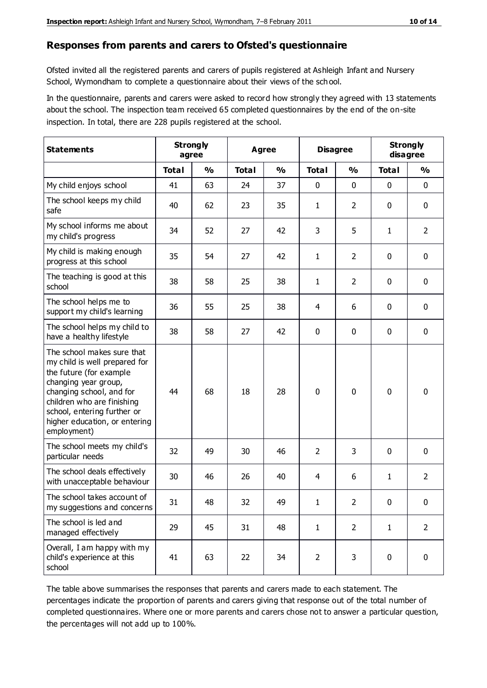#### **Responses from parents and carers to Ofsted's questionnaire**

Ofsted invited all the registered parents and carers of pupils registered at Ashleigh Infant and Nursery School, Wymondham to complete a questionnaire about their views of the sch ool.

In the questionnaire, parents and carers were asked to record how strongly they agreed with 13 statements about the school. The inspection team received 65 completed questionnaires by the end of the on-site inspection. In total, there are 228 pupils registered at the school.

| <b>Statements</b>                                                                                                                                                                                                                                       | <b>Strongly</b><br>agree |               |              | <b>Agree</b>  |                | <b>Disagree</b> |              | <b>Strongly</b><br>disagree |  |
|---------------------------------------------------------------------------------------------------------------------------------------------------------------------------------------------------------------------------------------------------------|--------------------------|---------------|--------------|---------------|----------------|-----------------|--------------|-----------------------------|--|
|                                                                                                                                                                                                                                                         | <b>Total</b>             | $\frac{0}{0}$ | <b>Total</b> | $\frac{0}{0}$ | <b>Total</b>   | $\frac{0}{0}$   | <b>Total</b> | $\frac{0}{0}$               |  |
| My child enjoys school                                                                                                                                                                                                                                  | 41                       | 63            | 24           | 37            | 0              | 0               | $\mathbf 0$  | $\mathbf 0$                 |  |
| The school keeps my child<br>safe                                                                                                                                                                                                                       | 40                       | 62            | 23           | 35            | 1              | $\overline{2}$  | $\mathbf 0$  | $\mathbf 0$                 |  |
| My school informs me about<br>my child's progress                                                                                                                                                                                                       | 34                       | 52            | 27           | 42            | 3              | 5               | $\mathbf{1}$ | $\overline{2}$              |  |
| My child is making enough<br>progress at this school                                                                                                                                                                                                    | 35                       | 54            | 27           | 42            | 1              | $\overline{2}$  | 0            | $\mathbf 0$                 |  |
| The teaching is good at this<br>school                                                                                                                                                                                                                  | 38                       | 58            | 25           | 38            | 1              | $\overline{2}$  | $\mathbf 0$  | $\mathbf 0$                 |  |
| The school helps me to<br>support my child's learning                                                                                                                                                                                                   | 36                       | 55            | 25           | 38            | 4              | 6               | $\mathbf 0$  | $\mathbf 0$                 |  |
| The school helps my child to<br>have a healthy lifestyle                                                                                                                                                                                                | 38                       | 58            | 27           | 42            | 0              | $\mathbf 0$     | $\mathbf 0$  | $\mathbf 0$                 |  |
| The school makes sure that<br>my child is well prepared for<br>the future (for example<br>changing year group,<br>changing school, and for<br>children who are finishing<br>school, entering further or<br>higher education, or entering<br>employment) | 44                       | 68            | 18           | 28            | $\mathbf 0$    | 0               | $\mathbf 0$  | $\mathbf 0$                 |  |
| The school meets my child's<br>particular needs                                                                                                                                                                                                         | 32                       | 49            | 30           | 46            | $\overline{2}$ | 3               | $\mathbf 0$  | $\mathbf 0$                 |  |
| The school deals effectively<br>with unacceptable behaviour                                                                                                                                                                                             | 30                       | 46            | 26           | 40            | 4              | 6               | 1            | $\overline{2}$              |  |
| The school takes account of<br>my suggestions and concerns                                                                                                                                                                                              | 31                       | 48            | 32           | 49            | 1              | $\overline{2}$  | 0            | 0                           |  |
| The school is led and<br>managed effectively                                                                                                                                                                                                            | 29                       | 45            | 31           | 48            | $\mathbf{1}$   | $\overline{2}$  | $\mathbf{1}$ | $\overline{2}$              |  |
| Overall, I am happy with my<br>child's experience at this<br>school                                                                                                                                                                                     | 41                       | 63            | 22           | 34            | $\overline{2}$ | 3               | $\mathbf 0$  | $\mathbf 0$                 |  |

The table above summarises the responses that parents and carers made to each statement. The percentages indicate the proportion of parents and carers giving that response out of the total number of completed questionnaires. Where one or more parents and carers chose not to answer a particular question, the percentages will not add up to 100%.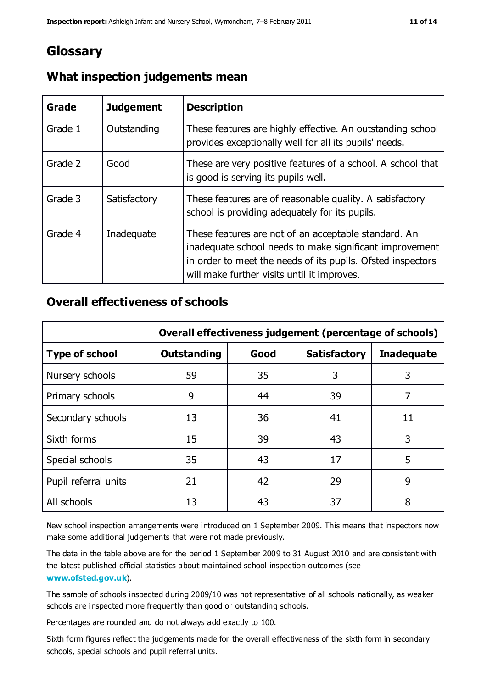## **Glossary**

| Grade   | <b>Judgement</b> | <b>Description</b>                                                                                                                                                                                                            |
|---------|------------------|-------------------------------------------------------------------------------------------------------------------------------------------------------------------------------------------------------------------------------|
| Grade 1 | Outstanding      | These features are highly effective. An outstanding school<br>provides exceptionally well for all its pupils' needs.                                                                                                          |
| Grade 2 | Good             | These are very positive features of a school. A school that<br>is good is serving its pupils well.                                                                                                                            |
| Grade 3 | Satisfactory     | These features are of reasonable quality. A satisfactory<br>school is providing adequately for its pupils.                                                                                                                    |
| Grade 4 | Inadequate       | These features are not of an acceptable standard. An<br>inadequate school needs to make significant improvement<br>in order to meet the needs of its pupils. Ofsted inspectors<br>will make further visits until it improves. |

#### **What inspection judgements mean**

#### **Overall effectiveness of schools**

|                       | Overall effectiveness judgement (percentage of schools) |      |                     |                   |
|-----------------------|---------------------------------------------------------|------|---------------------|-------------------|
| <b>Type of school</b> | <b>Outstanding</b>                                      | Good | <b>Satisfactory</b> | <b>Inadequate</b> |
| Nursery schools       | 59                                                      | 35   | 3                   | 3                 |
| Primary schools       | 9                                                       | 44   | 39                  | 7                 |
| Secondary schools     | 13                                                      | 36   | 41                  | 11                |
| Sixth forms           | 15                                                      | 39   | 43                  | 3                 |
| Special schools       | 35                                                      | 43   | 17                  | 5                 |
| Pupil referral units  | 21                                                      | 42   | 29                  | 9                 |
| All schools           | 13                                                      | 43   | 37                  | 8                 |

New school inspection arrangements were introduced on 1 September 2009. This means that inspectors now make some additional judgements that were not made previously.

The data in the table above are for the period 1 September 2009 to 31 August 2010 and are consistent with the latest published official statistics about maintained school inspection outcomes (see **[www.ofsted.gov.uk](http://www.ofsted.gov.uk/)**).

The sample of schools inspected during 2009/10 was not representative of all schools nationally, as weaker schools are inspected more frequently than good or outstanding schools.

Percentages are rounded and do not always add exactly to 100.

Sixth form figures reflect the judgements made for the overall effectiveness of the sixth form in secondary schools, special schools and pupil referral units.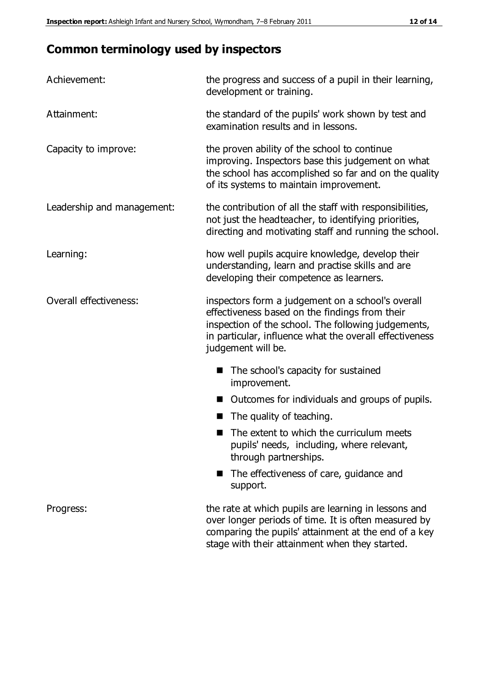## **Common terminology used by inspectors**

| Achievement:               | the progress and success of a pupil in their learning,<br>development or training.                                                                                                                                                          |  |  |
|----------------------------|---------------------------------------------------------------------------------------------------------------------------------------------------------------------------------------------------------------------------------------------|--|--|
| Attainment:                | the standard of the pupils' work shown by test and<br>examination results and in lessons.                                                                                                                                                   |  |  |
| Capacity to improve:       | the proven ability of the school to continue<br>improving. Inspectors base this judgement on what<br>the school has accomplished so far and on the quality<br>of its systems to maintain improvement.                                       |  |  |
| Leadership and management: | the contribution of all the staff with responsibilities,<br>not just the headteacher, to identifying priorities,<br>directing and motivating staff and running the school.                                                                  |  |  |
| Learning:                  | how well pupils acquire knowledge, develop their<br>understanding, learn and practise skills and are<br>developing their competence as learners.                                                                                            |  |  |
| Overall effectiveness:     | inspectors form a judgement on a school's overall<br>effectiveness based on the findings from their<br>inspection of the school. The following judgements,<br>in particular, influence what the overall effectiveness<br>judgement will be. |  |  |
|                            | The school's capacity for sustained<br>improvement.                                                                                                                                                                                         |  |  |
|                            | Outcomes for individuals and groups of pupils.                                                                                                                                                                                              |  |  |
|                            | The quality of teaching.                                                                                                                                                                                                                    |  |  |
|                            | The extent to which the curriculum meets<br>pupils' needs, including, where relevant,<br>through partnerships.                                                                                                                              |  |  |
|                            | The effectiveness of care, guidance and<br>support.                                                                                                                                                                                         |  |  |
| Progress:                  | the rate at which pupils are learning in lessons and<br>over longer periods of time. It is often measured by<br>comparing the pupils' attainment at the end of a key                                                                        |  |  |

stage with their attainment when they started.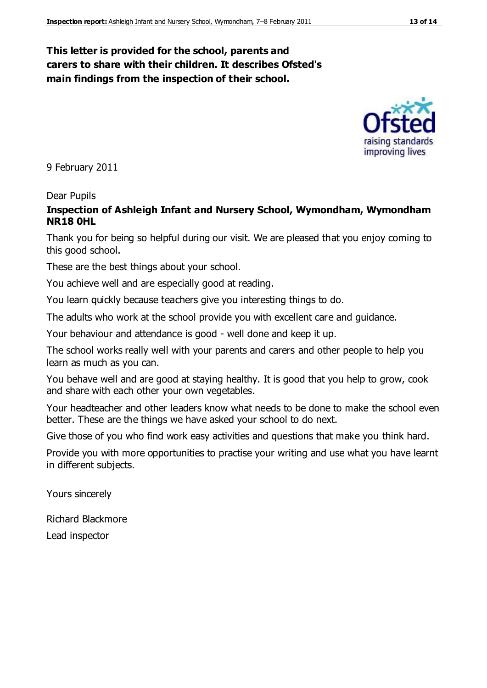#### **This letter is provided for the school, parents and carers to share with their children. It describes Ofsted's main findings from the inspection of their school.**

9 February 2011

#### Dear Pupils

#### **Inspection of Ashleigh Infant and Nursery School, Wymondham, Wymondham NR18 0HL**

Thank you for being so helpful during our visit. We are pleased that you enjoy coming to this good school.

These are the best things about your school.

You achieve well and are especially good at reading.

You learn quickly because teachers give you interesting things to do.

The adults who work at the school provide you with excellent care and guidance.

Your behaviour and attendance is good - well done and keep it up.

The school works really well with your parents and carers and other people to help you learn as much as you can.

You behave well and are good at staying healthy. It is good that you help to grow, cook and share with each other your own vegetables.

Your headteacher and other leaders know what needs to be done to make the school even better. These are the things we have asked your school to do next.

Give those of you who find work easy activities and questions that make you think hard.

Provide you with more opportunities to practise your writing and use what you have learnt in different subjects.

Yours sincerely

Richard Blackmore

Lead inspector